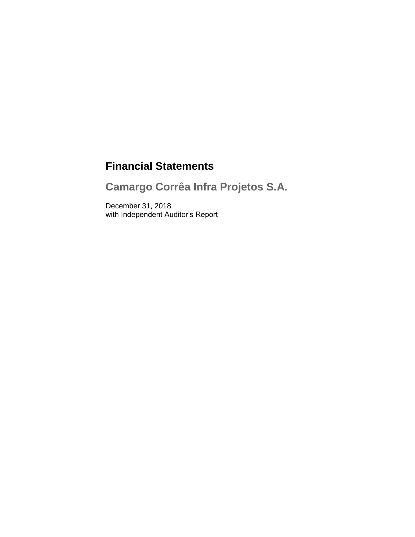# **Financial Statements**

**Camargo Corrêa Infra Projetos S.A.**

December 31, 2018 with Independent Auditor's Report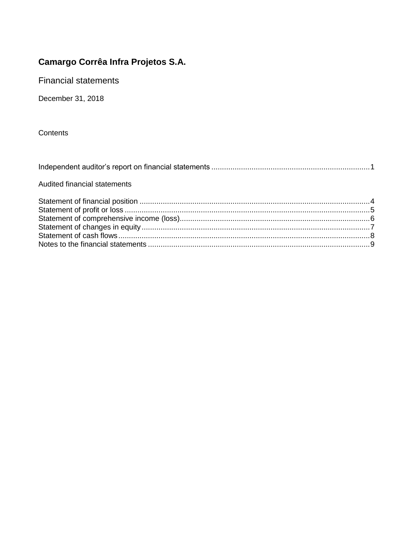**Financial statements** 

December 31, 2018

Contents

| Audited financial statements |  |
|------------------------------|--|
|                              |  |
|                              |  |
|                              |  |
|                              |  |
|                              |  |
|                              |  |
|                              |  |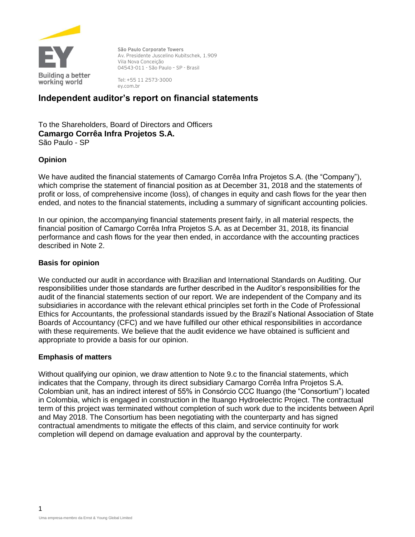

**São Paulo Corporate Towers** Av. Presidente Juscelino Kubitschek, 1.909 Vila Nova Conceição 04543-011 - São Paulo – SP - Brasil

Tel: +55 11 2573-3000 ey.com.br

# **Independent auditor's report on financial statements**

To the Shareholders, Board of Directors and Officers **Camargo Corrêa Infra Projetos S.A.** São Paulo - SP

### **Opinion**

We have audited the financial statements of Camargo Corrêa Infra Projetos S.A. (the "Company"), which comprise the statement of financial position as at December 31, 2018 and the statements of profit or loss, of comprehensive income (loss), of changes in equity and cash flows for the year then ended, and notes to the financial statements, including a summary of significant accounting policies.

In our opinion, the accompanying financial statements present fairly, in all material respects, the financial position of Camargo Corrêa Infra Projetos S.A. as at December 31, 2018, its financial performance and cash flows for the year then ended, in accordance with the accounting practices described in Note 2.

### **Basis for opinion**

We conducted our audit in accordance with Brazilian and International Standards on Auditing. Our responsibilities under those standards are further described in the Auditor's responsibilities for the audit of the financial statements section of our report. We are independent of the Company and its subsidiaries in accordance with the relevant ethical principles set forth in the Code of Professional Ethics for Accountants, the professional standards issued by the Brazil's National Association of State Boards of Accountancy (CFC) and we have fulfilled our other ethical responsibilities in accordance with these requirements. We believe that the audit evidence we have obtained is sufficient and appropriate to provide a basis for our opinion.

### **Emphasis of matters**

Without qualifying our opinion, we draw attention to Note 9.c to the financial statements, which indicates that the Company, through its direct subsidiary Camargo Corrêa Infra Projetos S.A. Colombian unit, has an indirect interest of 55% in Consórcio CCC Ituango (the "Consortium") located in Colombia, which is engaged in construction in the Ituango Hydroelectric Project. The contractual term of this project was terminated without completion of such work due to the incidents between April and May 2018. The Consortium has been negotiating with the counterparty and has signed contractual amendments to mitigate the effects of this claim, and service continuity for work completion will depend on damage evaluation and approval by the counterparty.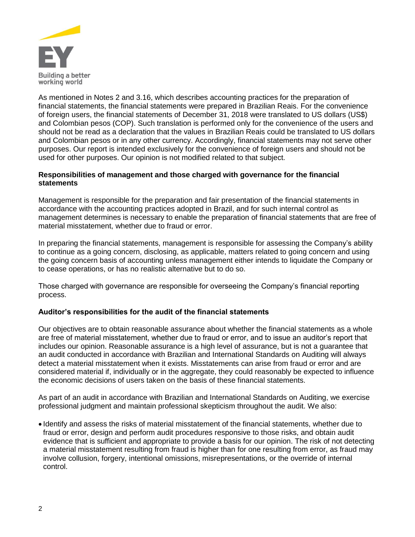

As mentioned in Notes 2 and 3.16, which describes accounting practices for the preparation of financial statements, the financial statements were prepared in Brazilian Reais. For the convenience of foreign users, the financial statements of December 31, 2018 were translated to US dollars (US\$) and Colombian pesos (COP). Such translation is performed only for the convenience of the users and should not be read as a declaration that the values in Brazilian Reais could be translated to US dollars and Colombian pesos or in any other currency. Accordingly, financial statements may not serve other purposes. Our report is intended exclusively for the convenience of foreign users and should not be used for other purposes. Our opinion is not modified related to that subject.

### **Responsibilities of management and those charged with governance for the financial statements**

Management is responsible for the preparation and fair presentation of the financial statements in accordance with the accounting practices adopted in Brazil, and for such internal control as management determines is necessary to enable the preparation of financial statements that are free of material misstatement, whether due to fraud or error.

In preparing the financial statements, management is responsible for assessing the Company's ability to continue as a going concern, disclosing, as applicable, matters related to going concern and using the going concern basis of accounting unless management either intends to liquidate the Company or to cease operations, or has no realistic alternative but to do so.

Those charged with governance are responsible for overseeing the Company's financial reporting process.

### **Auditor's responsibilities for the audit of the financial statements**

Our objectives are to obtain reasonable assurance about whether the financial statements as a whole are free of material misstatement, whether due to fraud or error, and to issue an auditor's report that includes our opinion. Reasonable assurance is a high level of assurance, but is not a guarantee that an audit conducted in accordance with Brazilian and International Standards on Auditing will always detect a material misstatement when it exists. Misstatements can arise from fraud or error and are considered material if, individually or in the aggregate, they could reasonably be expected to influence the economic decisions of users taken on the basis of these financial statements.

As part of an audit in accordance with Brazilian and International Standards on Auditing, we exercise professional judgment and maintain professional skepticism throughout the audit. We also:

• Identify and assess the risks of material misstatement of the financial statements, whether due to fraud or error, design and perform audit procedures responsive to those risks, and obtain audit evidence that is sufficient and appropriate to provide a basis for our opinion. The risk of not detecting a material misstatement resulting from fraud is higher than for one resulting from error, as fraud may involve collusion, forgery, intentional omissions, misrepresentations, or the override of internal control.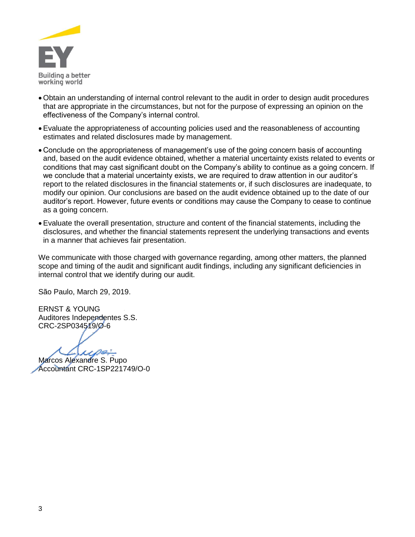

- Obtain an understanding of internal control relevant to the audit in order to design audit procedures that are appropriate in the circumstances, but not for the purpose of expressing an opinion on the effectiveness of the Company's internal control.
- Evaluate the appropriateness of accounting policies used and the reasonableness of accounting estimates and related disclosures made by management.
- Conclude on the appropriateness of management's use of the going concern basis of accounting and, based on the audit evidence obtained, whether a material uncertainty exists related to events or conditions that may cast significant doubt on the Company's ability to continue as a going concern. If we conclude that a material uncertainty exists, we are required to draw attention in our auditor's report to the related disclosures in the financial statements or, if such disclosures are inadequate, to modify our opinion. Our conclusions are based on the audit evidence obtained up to the date of our auditor's report. However, future events or conditions may cause the Company to cease to continue as a going concern.
- Evaluate the overall presentation, structure and content of the financial statements, including the disclosures, and whether the financial statements represent the underlying transactions and events in a manner that achieves fair presentation.

We communicate with those charged with governance regarding, among other matters, the planned scope and timing of the audit and significant audit findings, including any significant deficiencies in internal control that we identify during our audit.

São Paulo, March 29, 2019.

ERNST & YOUNG Auditores Independentes S.S. CRC-2SP034519/O-6

 $\mu$ 

Marcos Alexandre S. Pupo Accountant CRC-1SP221749/O-0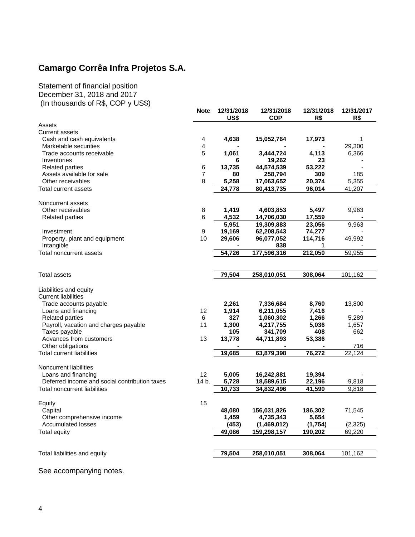Statement of financial position December 31, 2018 and 2017

| (In thousands of R\$, COP y US\$)             |                |                    |                          |                   |                   |
|-----------------------------------------------|----------------|--------------------|--------------------------|-------------------|-------------------|
|                                               | <b>Note</b>    | 12/31/2018<br>US\$ | 12/31/2018<br><b>COP</b> | 12/31/2018<br>R\$ | 12/31/2017<br>R\$ |
| Assets                                        |                |                    |                          |                   |                   |
| <b>Current assets</b>                         |                |                    |                          |                   |                   |
| Cash and cash equivalents                     | 4              | 4,638              | 15,052,764               | 17,973            | 1                 |
| Marketable securities                         | 4              |                    |                          |                   | 29,300            |
| Trade accounts receivable                     | 5              | 1,061              | 3,444,724                | 4,113             | 6,366             |
| Inventories                                   |                | 6                  | 19,262                   | 23                |                   |
| <b>Related parties</b>                        | 6              | 13,735             | 44,574,539               | 53,222            |                   |
| Assets available for sale                     | $\overline{7}$ | 80                 | 258,794                  | 309               | 185               |
| Other receivables                             | 8              | 5,258              | 17,063,652               | 20,374            | 5,355             |
| Total current assets                          |                | 24,778             | 80,413,735               | 96,014            | 41,207            |
| Noncurrent assets                             |                |                    |                          |                   |                   |
| Other receivables                             | 8              | 1,419              | 4,603,853                | 5,497             | 9,963             |
| <b>Related parties</b>                        | 6              | 4,532              | 14,706,030               | 17,559            |                   |
|                                               |                | 5,951              | 19,309,883               | 23,056            | 9,963             |
| Investment                                    | 9              | 19,169             | 62,208,543               | 74,277            |                   |
| Property, plant and equipment                 | 10             | 29,606             | 96,077,052               | 114,716           | 49,992            |
| Intangible                                    |                |                    | 838                      | 1                 |                   |
| Total noncurrent assets                       |                | 54,726             | 177,596,316              | 212,050           | 59,955            |
|                                               |                |                    |                          |                   |                   |
| <b>Total assets</b>                           |                | 79,504             | 258,010,051              | 308,064           | 101,162           |
| Liabilities and equity                        |                |                    |                          |                   |                   |
| <b>Current liabilities</b>                    |                |                    |                          |                   |                   |
| Trade accounts payable                        |                | 2,261              | 7,336,684                | 8,760             | 13,800            |
| Loans and financing                           | 12             | 1,914              | 6,211,055                | 7,416             |                   |
| <b>Related parties</b>                        | 6              | 327                | 1,060,302                | 1,266             | 5,289             |
| Payroll, vacation and charges payable         | 11             | 1,300              | 4,217,755                | 5,036             | 1,657             |
| Taxes payable                                 |                | 105                | 341,709                  | 408               | 662               |
| Advances from customers                       | 13             | 13,778             | 44,711,893               | 53,386            |                   |
| Other obligations                             |                |                    |                          |                   | 716               |
| <b>Total current liabilities</b>              |                | 19,685             | 63,879,398               | 76,272            | 22,124            |
| Noncurrent liabilities                        |                |                    |                          |                   |                   |
| Loans and financing                           | 12             | 5,005              | 16,242,881               | 19,394            |                   |
| Deferred income and social contribution taxes | 14 b.          | 5,728              | 18,589,615               | 22,196            | 9,818             |
| Total noncurrent liabilities                  |                | 10,733             | 34,832,496               | 41,590            | 9,818             |
|                                               |                |                    |                          |                   |                   |
| Equity                                        | 15             |                    |                          |                   |                   |
| Capital                                       |                | 48,080             | 156,031,826              | 186,302           | 71,545            |
| Other comprehensive income                    |                | 1,459              | 4,735,343                | 5,654             |                   |
| <b>Accumulated losses</b>                     |                | (453)              | (1,469,012)              | (1,754)           | (2, 325)          |
| <b>Total equity</b>                           |                | 49,086             | 159,298,157              | 190,202           | 69,220            |
|                                               |                |                    |                          |                   |                   |
| Total liabilities and equity                  |                | 79,504             | 258,010,051              | 308,064           | 101,162           |
|                                               |                |                    |                          |                   |                   |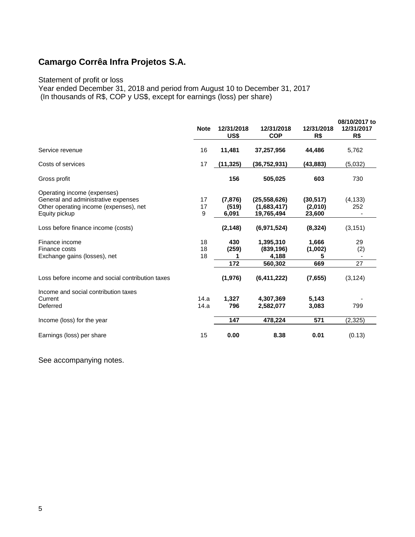### Statement of profit or loss

Year ended December 31, 2018 and period from August 10 to December 31, 2017 (In thousands of R\$, COP y US\$, except for earnings (loss) per share)

|                                                                                                                               | <b>Note</b>    | 12/31/2018<br>US\$         | 12/31/2018<br><b>COP</b>                    | 12/31/2018<br>R\$              | 08/10/2017 to<br>12/31/2017<br>R\$ |
|-------------------------------------------------------------------------------------------------------------------------------|----------------|----------------------------|---------------------------------------------|--------------------------------|------------------------------------|
| Service revenue                                                                                                               | 16             | 11,481                     | 37,257,956                                  | 44,486                         | 5,762                              |
| Costs of services                                                                                                             | 17             | (11, 325)                  | (36,752,931)                                | (43,883)                       | (5,032)                            |
| Gross profit                                                                                                                  |                | 156                        | 505,025                                     | 603                            | 730                                |
| Operating income (expenses)<br>General and administrative expenses<br>Other operating income (expenses), net<br>Equity pickup | 17<br>17<br>9  | (7, 876)<br>(519)<br>6,091 | (25, 558, 626)<br>(1,683,417)<br>19,765,494 | (30, 517)<br>(2,010)<br>23,600 | (4, 133)<br>252                    |
| Loss before finance income (costs)                                                                                            |                | (2, 148)                   | (6,971,524)                                 | (8, 324)                       | (3, 151)                           |
| Finance income<br>Finance costs<br>Exchange gains (losses), net                                                               | 18<br>18<br>18 | 430<br>(259)<br>1<br>172   | 1,395,310<br>(839, 196)<br>4,188<br>560,302 | 1,666<br>(1,002)<br>5<br>669   | 29<br>(2)<br>27                    |
| Loss before income and social contribution taxes                                                                              |                | (1, 976)                   | (6, 411, 222)                               | (7,655)                        | (3, 124)                           |
| Income and social contribution taxes<br>Current<br>Deferred                                                                   | 14.a<br>14.a   | 1,327<br>796               | 4,307,369<br>2,582,077                      | 5,143<br>3,083                 | 799                                |
| Income (loss) for the year                                                                                                    |                | 147                        | 478,224                                     | 571                            | (2,325)                            |
| Earnings (loss) per share                                                                                                     | 15             | 0.00                       | 8.38                                        | 0.01                           | (0.13)                             |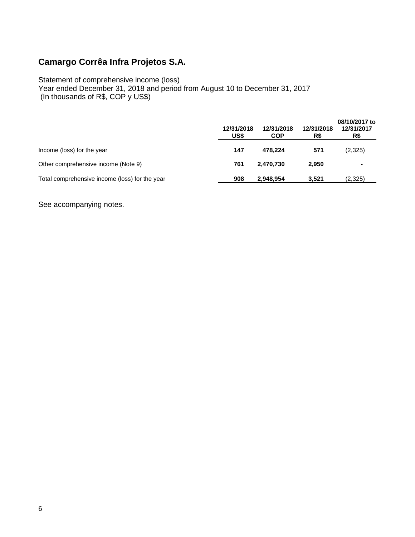Statement of comprehensive income (loss)

Year ended December 31, 2018 and period from August 10 to December 31, 2017 (In thousands of R\$, COP y US\$)

|                                                | 12/31/2018<br>US\$ | 12/31/2018<br><b>COP</b> | 12/31/2018<br>R\$ | 08/10/2017 to<br>12/31/2017<br>R\$ |
|------------------------------------------------|--------------------|--------------------------|-------------------|------------------------------------|
| Income (loss) for the year                     | 147                | 478.224                  | 571               | (2,325)                            |
| Other comprehensive income (Note 9)            | 761                | 2.470.730                | 2.950             |                                    |
| Total comprehensive income (loss) for the year | 908                | 2.948.954                | 3.521             | (2,325)                            |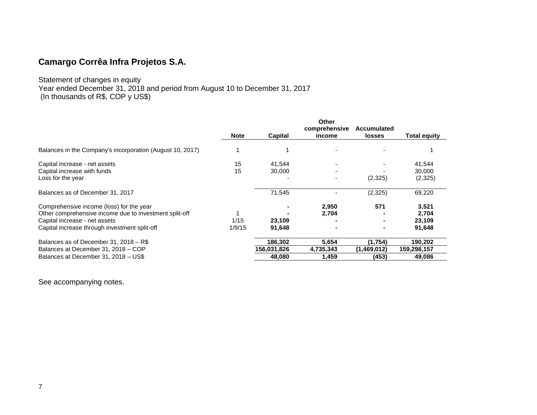### Statement of changes in equity Year ended December 31, 2018 and period from August 10 to December 31, 2017 (In thousands of R\$, COP y US\$)

|                                                                                                                                                                                      |                |                                  | <b>Other</b><br>comprehensive | <b>Accumulated</b>              |                                    |
|--------------------------------------------------------------------------------------------------------------------------------------------------------------------------------------|----------------|----------------------------------|-------------------------------|---------------------------------|------------------------------------|
|                                                                                                                                                                                      | <b>Note</b>    | Capital                          | income                        | <b>losses</b>                   | <b>Total equity</b>                |
| Balances in the Company's incorporation (August 10, 2017)                                                                                                                            |                |                                  |                               |                                 |                                    |
| Capital increase - net assets<br>Capital increase with funds<br>Loss for the year                                                                                                    | 15<br>15       | 41,544<br>30,000                 | $\overline{\phantom{0}}$      | (2,325)                         | 41,544<br>30,000<br>(2,325)        |
| Balances as of December 31, 2017                                                                                                                                                     |                | 71,545                           |                               | (2,325)                         | 69,220                             |
| Comprehensive income (loss) for the year<br>Other comprehensive income due to investment split-off<br>Capital increase - net assets<br>Capital increase through investment split-off | 1/15<br>1/9/15 | 23,109<br>91,648                 | 2,950<br>2,704                | 571                             | 3,521<br>2,704<br>23,109<br>91,648 |
| Balances as of December 31, 2018 - R\$<br>Balances at December 31, 2018 - COP<br>Balances at December 31, 2018 - US\$                                                                |                | 186,302<br>156,031,826<br>48,080 | 5,654<br>4,735,343<br>1,459   | (1,754)<br>(1,469,012)<br>(453) | 190,202<br>159,298,157<br>49,086   |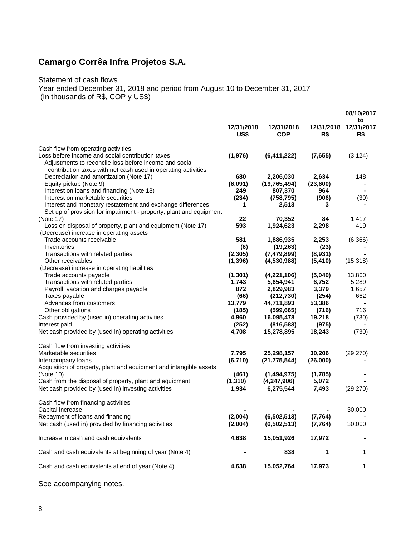### Statement of cash flows

Year ended December 31, 2018 and period from August 10 to December 31, 2017

(In thousands of R\$, COP y US\$)

|                                                                                                            |                    |                            |                   | 08/10/2017              |
|------------------------------------------------------------------------------------------------------------|--------------------|----------------------------|-------------------|-------------------------|
|                                                                                                            | 12/31/2018<br>US\$ | 12/31/2018<br><b>COP</b>   | 12/31/2018<br>R\$ | to<br>12/31/2017<br>R\$ |
| Cash flow from operating activities                                                                        |                    |                            |                   |                         |
| Loss before income and social contribution taxes<br>Adjustments to reconcile loss before income and social | (1,976)            | (6, 411, 222)              | (7,655)           | (3, 124)                |
| contribution taxes with net cash used in operating activities<br>Depreciation and amortization (Note 17)   | 680                | 2,206,030                  | 2,634             | 148                     |
| Equity pickup (Note 9)                                                                                     | (6,091)            | (19, 765, 494)             | (23,600)          |                         |
| Interest on loans and financing (Note 18)                                                                  | 249                | 807,370                    | 964               |                         |
| Interest on marketable securities                                                                          | (234)              | (758, 795)                 | (906)             | (30)                    |
| Interest and monetary restatement and exchange differences                                                 | 1                  | 2,513                      | 3                 |                         |
| Set up of provision for impairment - property, plant and equipment                                         |                    |                            |                   |                         |
| (Note 17)                                                                                                  | 22                 | 70,352                     | 84                | 1,417                   |
| Loss on disposal of property, plant and equipment (Note 17)<br>(Decrease) increase in operating assets     | 593                | 1,924,623                  | 2,298             | 419                     |
| Trade accounts receivable                                                                                  | 581                | 1,886,935                  | 2,253             | (6, 366)                |
| Inventories                                                                                                | (6)                | (19, 263)                  | (23)              |                         |
| Transactions with related parties                                                                          | (2, 305)           | (7,479,899)                | (8,931)           |                         |
| Other receivables                                                                                          | (1, 396)           | (4,530,988)                | (5, 410)          | (15, 318)               |
| (Decrease) increase in operating liabilities                                                               |                    |                            |                   |                         |
| Trade accounts payable                                                                                     | (1, 301)           | (4,221,106)                | (5,040)           | 13,800                  |
| Transactions with related parties                                                                          | 1,743              | 5,654,941                  | 6,752             | 5,289                   |
| Payroll, vacation and charges payable<br>Taxes payable                                                     | 872<br>(66)        | 2,829,983<br>(212, 730)    | 3,379             | 1,657<br>662            |
| Advances from customers                                                                                    | 13,779             | 44,711,893                 | (254)<br>53,386   |                         |
| Other obligations                                                                                          | (185)              | (599, 665)                 | (716)             | 716                     |
| Cash provided by (used in) operating activities                                                            | 4,960              | 16,095,478                 | 19,218            | (730)                   |
| Interest paid                                                                                              | (252)              | (816, 583)                 | (975)             |                         |
| Net cash provided by (used in) operating activities                                                        | 4,708              | 15,278,895                 | 18,243            | (730)                   |
| Cash flow from investing activities                                                                        |                    |                            |                   |                         |
| Marketable securities                                                                                      | 7,795              | 25,298,157                 | 30,206            | (29, 270)               |
| Intercompany loans                                                                                         | (6, 710)           | (21, 775, 544)             | (26,000)          |                         |
| Acquisition of property, plant and equipment and intangible assets                                         |                    |                            |                   |                         |
| (Note 10)<br>Cash from the disposal of property, plant and equipment                                       | (461)<br>(1, 310)  | (1,494,975)<br>(4,247,906) | (1,785)<br>5,072  |                         |
| Net cash provided by (used in) investing activities                                                        | 1,934              | 6,275,544                  | 7,493             | (29, 270)               |
|                                                                                                            |                    |                            |                   |                         |
| Cash flow from financing activities<br>Capital increase                                                    |                    |                            |                   | 30,000                  |
| Repayment of loans and financing                                                                           | (2,004)            | (6, 502, 513)              | (7, 764)          |                         |
| Net cash (used in) provided by financing activities                                                        | (2,004)            | (6, 502, 513)              | (7, 764)          | 30,000                  |
|                                                                                                            |                    |                            |                   |                         |
| Increase in cash and cash equivalents                                                                      | 4,638              | 15,051,926                 | 17,972            |                         |
| Cash and cash equivalents at beginning of year (Note 4)                                                    |                    | 838                        | 1                 | 1                       |
| Cash and cash equivalents at end of year (Note 4)                                                          | 4,638              | 15,052,764                 | 17,973            | 1                       |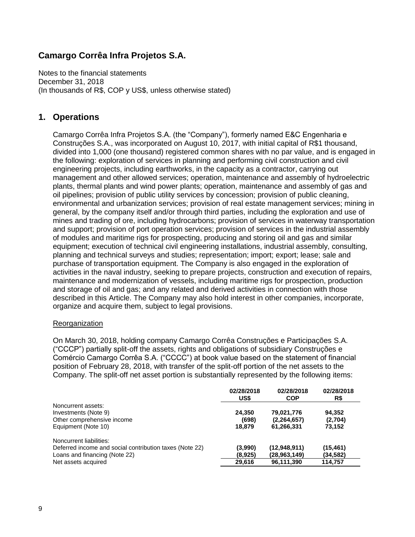Notes to the financial statements December 31, 2018 (In thousands of R\$, COP y US\$, unless otherwise stated)

### **1. Operations**

Camargo Corrêa Infra Projetos S.A. (the "Company"), formerly named E&C Engenharia e Construções S.A., was incorporated on August 10, 2017, with initial capital of R\$1 thousand, divided into 1,000 (one thousand) registered common shares with no par value, and is engaged in the following: exploration of services in planning and performing civil construction and civil engineering projects, including earthworks, in the capacity as a contractor, carrying out management and other allowed services; operation, maintenance and assembly of hydroelectric plants, thermal plants and wind power plants; operation, maintenance and assembly of gas and oil pipelines; provision of public utility services by concession; provision of public cleaning, environmental and urbanization services; provision of real estate management services; mining in general, by the company itself and/or through third parties, including the exploration and use of mines and trading of ore, including hydrocarbons; provision of services in waterway transportation and support; provision of port operation services; provision of services in the industrial assembly of modules and maritime rigs for prospecting, producing and storing oil and gas and similar equipment; execution of technical civil engineering installations, industrial assembly, consulting, planning and technical surveys and studies; representation; import; export; lease; sale and purchase of transportation equipment. The Company is also engaged in the exploration of activities in the naval industry, seeking to prepare projects, construction and execution of repairs, maintenance and modernization of vessels, including maritime rigs for prospection, production and storage of oil and gas; and any related and derived activities in connection with those described in this Article. The Company may also hold interest in other companies, incorporate, organize and acquire them, subject to legal provisions.

### Reorganization

On March 30, 2018, holding company Camargo Corrêa Construções e Participações S.A. ("CCCP") partially split-off the assets, rights and obligations of subsidiary Construções e Comércio Camargo Corrêa S.A. ("CCCC") at book value based on the statement of financial position of February 28, 2018, with transfer of the split-off portion of the net assets to the Company. The split-off net asset portion is substantially represented by the following items:

|                                                         | 02/28/2018<br>US\$ | 02/28/2018<br><b>COP</b> | 02/28/2018<br>R\$ |
|---------------------------------------------------------|--------------------|--------------------------|-------------------|
| Noncurrent assets:                                      |                    |                          |                   |
| Investments (Note 9)                                    | 24.350             | 79,021,776               | 94.352            |
| Other comprehensive income                              | (698)              | (2, 264, 657)            | (2,704)           |
| Equipment (Note 10)                                     | 18,879             | 61,266,331               | 73,152            |
| Noncurrent liabilities:                                 |                    |                          |                   |
| Deferred income and social contribution taxes (Note 22) | (3,990)            | (12,948,911)             | (15, 461)         |
| Loans and financing (Note 22)                           | (8,925)            | (28, 963, 149)           | (34,582)          |
| Net assets acquired                                     | 29,616             | 96,111,390               | 114,757           |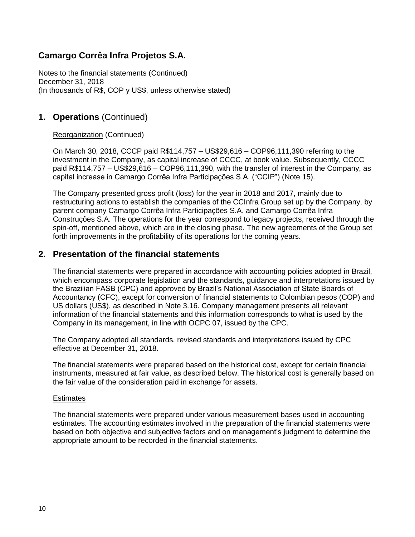Notes to the financial statements (Continued) December 31, 2018 (In thousands of R\$, COP y US\$, unless otherwise stated)

## **1. Operations** (Continued)

### Reorganization (Continued)

On March 30, 2018, CCCP paid R\$114,757 – US\$29,616 – COP96,111,390 referring to the investment in the Company, as capital increase of CCCC, at book value. Subsequently, CCCC paid R\$114,757 – US\$29,616 – COP96,111,390, with the transfer of interest in the Company, as capital increase in Camargo Corrêa Infra Participações S.A. ("CCIP") (Note 15).

The Company presented gross profit (loss) for the year in 2018 and 2017, mainly due to restructuring actions to establish the companies of the CCInfra Group set up by the Company, by parent company Camargo Corrêa Infra Participações S.A. and Camargo Corrêa Infra Construções S.A. The operations for the year correspond to legacy projects, received through the spin-off, mentioned above, which are in the closing phase. The new agreements of the Group set forth improvements in the profitability of its operations for the coming years.

### **2. Presentation of the financial statements**

The financial statements were prepared in accordance with accounting policies adopted in Brazil, which encompass corporate legislation and the standards, guidance and interpretations issued by the Brazilian FASB (CPC) and approved by Brazil's National Association of State Boards of Accountancy (CFC), except for conversion of financial statements to Colombian pesos (COP) and US dollars (US\$), as described in Note 3.16. Company management presents all relevant information of the financial statements and this information corresponds to what is used by the Company in its management, in line with OCPC 07, issued by the CPC.

The Company adopted all standards, revised standards and interpretations issued by CPC effective at December 31, 2018.

The financial statements were prepared based on the historical cost, except for certain financial instruments, measured at fair value, as described below. The historical cost is generally based on the fair value of the consideration paid in exchange for assets.

#### **Estimates**

The financial statements were prepared under various measurement bases used in accounting estimates. The accounting estimates involved in the preparation of the financial statements were based on both objective and subjective factors and on management's judgment to determine the appropriate amount to be recorded in the financial statements.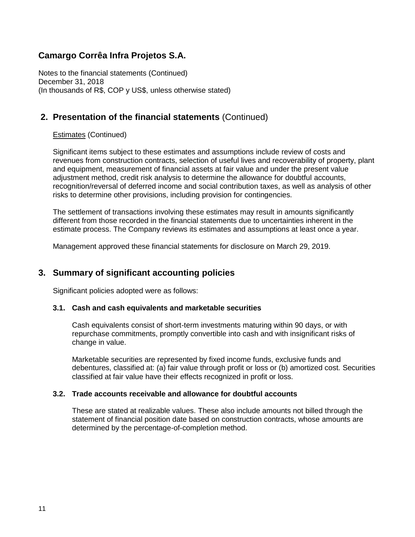Notes to the financial statements (Continued) December 31, 2018 (In thousands of R\$, COP y US\$, unless otherwise stated)

# **2. Presentation of the financial statements** (Continued)

### Estimates (Continued)

Significant items subject to these estimates and assumptions include review of costs and revenues from construction contracts, selection of useful lives and recoverability of property, plant and equipment, measurement of financial assets at fair value and under the present value adjustment method, credit risk analysis to determine the allowance for doubtful accounts, recognition/reversal of deferred income and social contribution taxes, as well as analysis of other risks to determine other provisions, including provision for contingencies.

The settlement of transactions involving these estimates may result in amounts significantly different from those recorded in the financial statements due to uncertainties inherent in the estimate process. The Company reviews its estimates and assumptions at least once a year.

Management approved these financial statements for disclosure on March 29, 2019.

### **3. Summary of significant accounting policies**

Significant policies adopted were as follows:

### **3.1. Cash and cash equivalents and marketable securities**

Cash equivalents consist of short-term investments maturing within 90 days, or with repurchase commitments, promptly convertible into cash and with insignificant risks of change in value.

Marketable securities are represented by fixed income funds, exclusive funds and debentures, classified at: (a) fair value through profit or loss or (b) amortized cost. Securities classified at fair value have their effects recognized in profit or loss.

### **3.2. Trade accounts receivable and allowance for doubtful accounts**

These are stated at realizable values. These also include amounts not billed through the statement of financial position date based on construction contracts, whose amounts are determined by the percentage-of-completion method.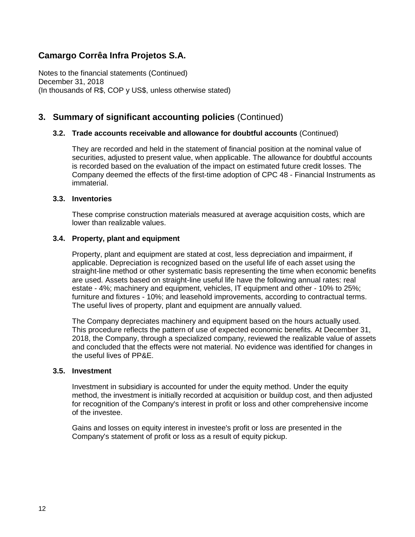Notes to the financial statements (Continued) December 31, 2018 (In thousands of R\$, COP y US\$, unless otherwise stated)

# **3. Summary of significant accounting policies** (Continued)

### **3.2. Trade accounts receivable and allowance for doubtful accounts** (Continued)

They are recorded and held in the statement of financial position at the nominal value of securities, adjusted to present value, when applicable. The allowance for doubtful accounts is recorded based on the evaluation of the impact on estimated future credit losses. The Company deemed the effects of the first-time adoption of CPC 48 - Financial Instruments as immaterial.

### **3.3. Inventories**

These comprise construction materials measured at average acquisition costs, which are lower than realizable values.

### **3.4. Property, plant and equipment**

Property, plant and equipment are stated at cost, less depreciation and impairment, if applicable. Depreciation is recognized based on the useful life of each asset using the straight-line method or other systematic basis representing the time when economic benefits are used. Assets based on straight-line useful life have the following annual rates: real estate - 4%; machinery and equipment, vehicles, IT equipment and other - 10% to 25%; furniture and fixtures - 10%; and leasehold improvements, according to contractual terms. The useful lives of property, plant and equipment are annually valued.

The Company depreciates machinery and equipment based on the hours actually used. This procedure reflects the pattern of use of expected economic benefits. At December 31, 2018, the Company, through a specialized company, reviewed the realizable value of assets and concluded that the effects were not material. No evidence was identified for changes in the useful lives of PP&E.

#### **3.5. Investment**

Investment in subsidiary is accounted for under the equity method. Under the equity method, the investment is initially recorded at acquisition or buildup cost, and then adjusted for recognition of the Company's interest in profit or loss and other comprehensive income of the investee.

Gains and losses on equity interest in investee's profit or loss are presented in the Company's statement of profit or loss as a result of equity pickup.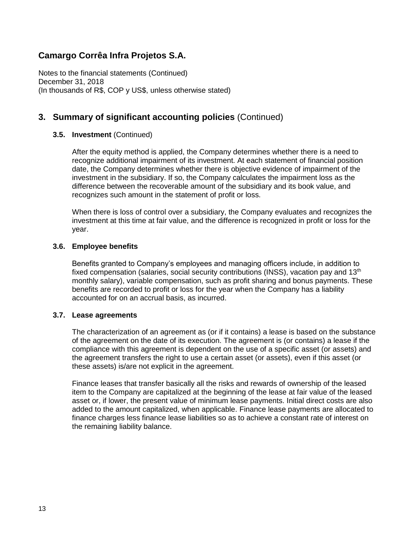Notes to the financial statements (Continued) December 31, 2018 (In thousands of R\$, COP y US\$, unless otherwise stated)

# **3. Summary of significant accounting policies** (Continued)

### **3.5. Investment** (Continued)

After the equity method is applied, the Company determines whether there is a need to recognize additional impairment of its investment. At each statement of financial position date, the Company determines whether there is objective evidence of impairment of the investment in the subsidiary. If so, the Company calculates the impairment loss as the difference between the recoverable amount of the subsidiary and its book value, and recognizes such amount in the statement of profit or loss.

When there is loss of control over a subsidiary, the Company evaluates and recognizes the investment at this time at fair value, and the difference is recognized in profit or loss for the year.

### **3.6. Employee benefits**

Benefits granted to Company's employees and managing officers include, in addition to fixed compensation (salaries, social security contributions (INSS), vacation pay and  $13<sup>th</sup>$ monthly salary), variable compensation, such as profit sharing and bonus payments. These benefits are recorded to profit or loss for the year when the Company has a liability accounted for on an accrual basis, as incurred.

### **3.7. Lease agreements**

The characterization of an agreement as (or if it contains) a lease is based on the substance of the agreement on the date of its execution. The agreement is (or contains) a lease if the compliance with this agreement is dependent on the use of a specific asset (or assets) and the agreement transfers the right to use a certain asset (or assets), even if this asset (or these assets) is/are not explicit in the agreement.

Finance leases that transfer basically all the risks and rewards of ownership of the leased item to the Company are capitalized at the beginning of the lease at fair value of the leased asset or, if lower, the present value of minimum lease payments. Initial direct costs are also added to the amount capitalized, when applicable. Finance lease payments are allocated to finance charges less finance lease liabilities so as to achieve a constant rate of interest on the remaining liability balance.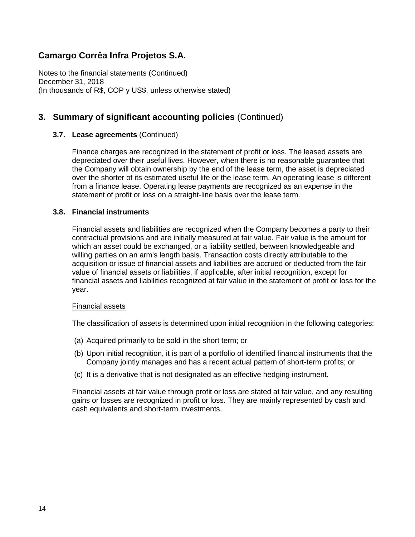Notes to the financial statements (Continued) December 31, 2018 (In thousands of R\$, COP y US\$, unless otherwise stated)

# **3. Summary of significant accounting policies** (Continued)

### **3.7. Lease agreements** (Continued)

Finance charges are recognized in the statement of profit or loss. The leased assets are depreciated over their useful lives. However, when there is no reasonable guarantee that the Company will obtain ownership by the end of the lease term, the asset is depreciated over the shorter of its estimated useful life or the lease term. An operating lease is different from a finance lease. Operating lease payments are recognized as an expense in the statement of profit or loss on a straight-line basis over the lease term.

### **3.8. Financial instruments**

Financial assets and liabilities are recognized when the Company becomes a party to their contractual provisions and are initially measured at fair value. Fair value is the amount for which an asset could be exchanged, or a liability settled, between knowledgeable and willing parties on an arm's length basis. Transaction costs directly attributable to the acquisition or issue of financial assets and liabilities are accrued or deducted from the fair value of financial assets or liabilities, if applicable, after initial recognition, except for financial assets and liabilities recognized at fair value in the statement of profit or loss for the year.

#### Financial assets

The classification of assets is determined upon initial recognition in the following categories:

- (a) Acquired primarily to be sold in the short term; or
- (b) Upon initial recognition, it is part of a portfolio of identified financial instruments that the Company jointly manages and has a recent actual pattern of short-term profits; or
- (c) It is a derivative that is not designated as an effective hedging instrument.

Financial assets at fair value through profit or loss are stated at fair value, and any resulting gains or losses are recognized in profit or loss. They are mainly represented by cash and cash equivalents and short-term investments.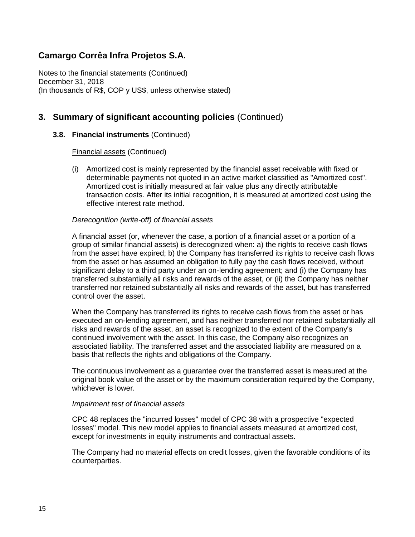Notes to the financial statements (Continued) December 31, 2018 (In thousands of R\$, COP y US\$, unless otherwise stated)

## **3. Summary of significant accounting policies** (Continued)

### **3.8. Financial instruments** (Continued)

Financial assets (Continued)

(i) Amortized cost is mainly represented by the financial asset receivable with fixed or determinable payments not quoted in an active market classified as "Amortized cost". Amortized cost is initially measured at fair value plus any directly attributable transaction costs. After its initial recognition, it is measured at amortized cost using the effective interest rate method.

### *Derecognition (write-off) of financial assets*

A financial asset (or, whenever the case, a portion of a financial asset or a portion of a group of similar financial assets) is derecognized when: a) the rights to receive cash flows from the asset have expired; b) the Company has transferred its rights to receive cash flows from the asset or has assumed an obligation to fully pay the cash flows received, without significant delay to a third party under an on-lending agreement; and (i) the Company has transferred substantially all risks and rewards of the asset, or (ii) the Company has neither transferred nor retained substantially all risks and rewards of the asset, but has transferred control over the asset.

When the Company has transferred its rights to receive cash flows from the asset or has executed an on-lending agreement, and has neither transferred nor retained substantially all risks and rewards of the asset, an asset is recognized to the extent of the Company's continued involvement with the asset. In this case, the Company also recognizes an associated liability. The transferred asset and the associated liability are measured on a basis that reflects the rights and obligations of the Company.

The continuous involvement as a guarantee over the transferred asset is measured at the original book value of the asset or by the maximum consideration required by the Company, whichever is lower.

#### *Impairment test of financial assets*

CPC 48 replaces the "incurred losses" model of CPC 38 with a prospective "expected losses" model. This new model applies to financial assets measured at amortized cost, except for investments in equity instruments and contractual assets.

The Company had no material effects on credit losses, given the favorable conditions of its counterparties.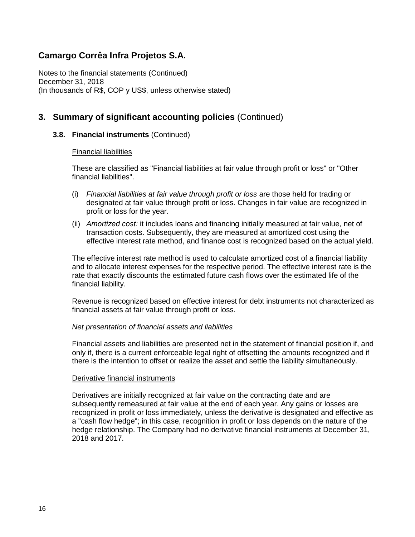Notes to the financial statements (Continued) December 31, 2018 (In thousands of R\$, COP y US\$, unless otherwise stated)

# **3. Summary of significant accounting policies** (Continued)

### **3.8. Financial instruments** (Continued)

### Financial liabilities

These are classified as "Financial liabilities at fair value through profit or loss" or "Other financial liabilities".

- (i) *Financial liabilities at fair value through profit or loss* are those held for trading or designated at fair value through profit or loss. Changes in fair value are recognized in profit or loss for the year.
- (ii) *Amortized cost:* it includes loans and financing initially measured at fair value, net of transaction costs. Subsequently, they are measured at amortized cost using the effective interest rate method, and finance cost is recognized based on the actual yield.

The effective interest rate method is used to calculate amortized cost of a financial liability and to allocate interest expenses for the respective period. The effective interest rate is the rate that exactly discounts the estimated future cash flows over the estimated life of the financial liability.

Revenue is recognized based on effective interest for debt instruments not characterized as financial assets at fair value through profit or loss.

### *Net presentation of financial assets and liabilities*

Financial assets and liabilities are presented net in the statement of financial position if, and only if, there is a current enforceable legal right of offsetting the amounts recognized and if there is the intention to offset or realize the asset and settle the liability simultaneously.

#### Derivative financial instruments

Derivatives are initially recognized at fair value on the contracting date and are subsequently remeasured at fair value at the end of each year. Any gains or losses are recognized in profit or loss immediately, unless the derivative is designated and effective as a "cash flow hedge"; in this case, recognition in profit or loss depends on the nature of the hedge relationship. The Company had no derivative financial instruments at December 31, 2018 and 2017.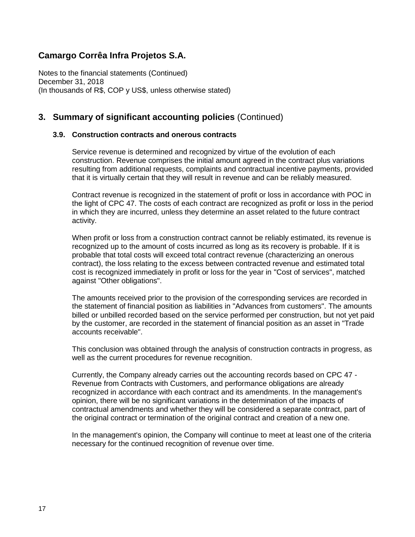Notes to the financial statements (Continued) December 31, 2018 (In thousands of R\$, COP y US\$, unless otherwise stated)

### **3. Summary of significant accounting policies** (Continued)

### **3.9. Construction contracts and onerous contracts**

Service revenue is determined and recognized by virtue of the evolution of each construction. Revenue comprises the initial amount agreed in the contract plus variations resulting from additional requests, complaints and contractual incentive payments, provided that it is virtually certain that they will result in revenue and can be reliably measured.

Contract revenue is recognized in the statement of profit or loss in accordance with POC in the light of CPC 47. The costs of each contract are recognized as profit or loss in the period in which they are incurred, unless they determine an asset related to the future contract activity.

When profit or loss from a construction contract cannot be reliably estimated, its revenue is recognized up to the amount of costs incurred as long as its recovery is probable. If it is probable that total costs will exceed total contract revenue (characterizing an onerous contract), the loss relating to the excess between contracted revenue and estimated total cost is recognized immediately in profit or loss for the year in "Cost of services", matched against "Other obligations".

The amounts received prior to the provision of the corresponding services are recorded in the statement of financial position as liabilities in "Advances from customers". The amounts billed or unbilled recorded based on the service performed per construction, but not yet paid by the customer, are recorded in the statement of financial position as an asset in "Trade accounts receivable".

This conclusion was obtained through the analysis of construction contracts in progress, as well as the current procedures for revenue recognition.

Currently, the Company already carries out the accounting records based on CPC 47 - Revenue from Contracts with Customers, and performance obligations are already recognized in accordance with each contract and its amendments. In the management's opinion, there will be no significant variations in the determination of the impacts of contractual amendments and whether they will be considered a separate contract, part of the original contract or termination of the original contract and creation of a new one.

In the management's opinion, the Company will continue to meet at least one of the criteria necessary for the continued recognition of revenue over time.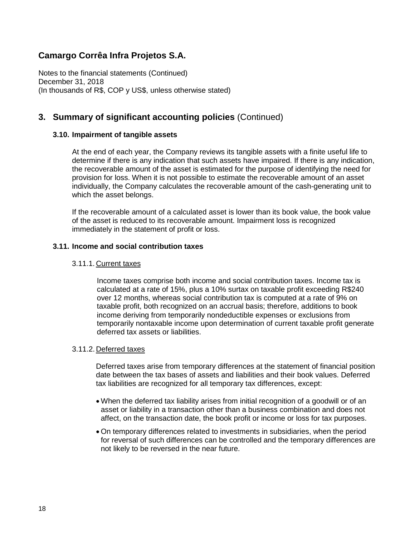Notes to the financial statements (Continued) December 31, 2018 (In thousands of R\$, COP y US\$, unless otherwise stated)

### **3. Summary of significant accounting policies** (Continued)

### **3.10. Impairment of tangible assets**

At the end of each year, the Company reviews its tangible assets with a finite useful life to determine if there is any indication that such assets have impaired. If there is any indication, the recoverable amount of the asset is estimated for the purpose of identifying the need for provision for loss. When it is not possible to estimate the recoverable amount of an asset individually, the Company calculates the recoverable amount of the cash-generating unit to which the asset belongs.

If the recoverable amount of a calculated asset is lower than its book value, the book value of the asset is reduced to its recoverable amount. Impairment loss is recognized immediately in the statement of profit or loss.

### **3.11. Income and social contribution taxes**

### 3.11.1. Current taxes

Income taxes comprise both income and social contribution taxes. Income tax is calculated at a rate of 15%, plus a 10% surtax on taxable profit exceeding R\$240 over 12 months, whereas social contribution tax is computed at a rate of 9% on taxable profit, both recognized on an accrual basis; therefore, additions to book income deriving from temporarily nondeductible expenses or exclusions from temporarily nontaxable income upon determination of current taxable profit generate deferred tax assets or liabilities.

#### 3.11.2. Deferred taxes

Deferred taxes arise from temporary differences at the statement of financial position date between the tax bases of assets and liabilities and their book values. Deferred tax liabilities are recognized for all temporary tax differences, except:

- When the deferred tax liability arises from initial recognition of a goodwill or of an asset or liability in a transaction other than a business combination and does not affect, on the transaction date, the book profit or income or loss for tax purposes.
- On temporary differences related to investments in subsidiaries, when the period for reversal of such differences can be controlled and the temporary differences are not likely to be reversed in the near future.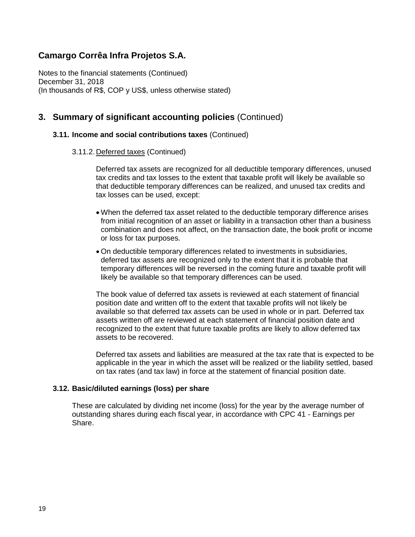Notes to the financial statements (Continued) December 31, 2018 (In thousands of R\$, COP y US\$, unless otherwise stated)

### **3. Summary of significant accounting policies** (Continued)

#### **3.11. Income and social contributions taxes** (Continued)

#### 3.11.2. Deferred taxes (Continued)

Deferred tax assets are recognized for all deductible temporary differences, unused tax credits and tax losses to the extent that taxable profit will likely be available so that deductible temporary differences can be realized, and unused tax credits and tax losses can be used, except:

- When the deferred tax asset related to the deductible temporary difference arises from initial recognition of an asset or liability in a transaction other than a business combination and does not affect, on the transaction date, the book profit or income or loss for tax purposes.
- On deductible temporary differences related to investments in subsidiaries, deferred tax assets are recognized only to the extent that it is probable that temporary differences will be reversed in the coming future and taxable profit will likely be available so that temporary differences can be used.

The book value of deferred tax assets is reviewed at each statement of financial position date and written off to the extent that taxable profits will not likely be available so that deferred tax assets can be used in whole or in part. Deferred tax assets written off are reviewed at each statement of financial position date and recognized to the extent that future taxable profits are likely to allow deferred tax assets to be recovered.

Deferred tax assets and liabilities are measured at the tax rate that is expected to be applicable in the year in which the asset will be realized or the liability settled, based on tax rates (and tax law) in force at the statement of financial position date.

#### **3.12. Basic/diluted earnings (loss) per share**

These are calculated by dividing net income (loss) for the year by the average number of outstanding shares during each fiscal year, in accordance with CPC 41 - Earnings per Share.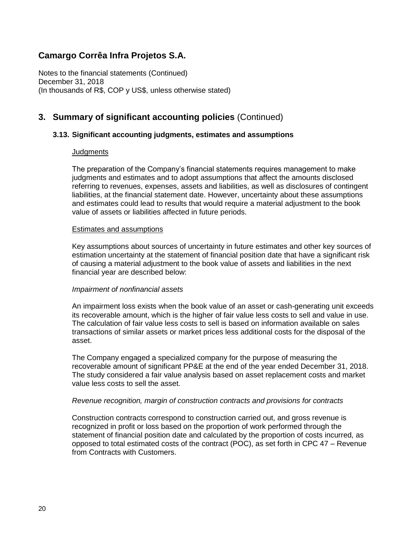Notes to the financial statements (Continued) December 31, 2018 (In thousands of R\$, COP y US\$, unless otherwise stated)

# **3. Summary of significant accounting policies** (Continued)

### **3.13. Significant accounting judgments, estimates and assumptions**

#### **Judgments**

The preparation of the Company's financial statements requires management to make judgments and estimates and to adopt assumptions that affect the amounts disclosed referring to revenues, expenses, assets and liabilities, as well as disclosures of contingent liabilities, at the financial statement date. However, uncertainty about these assumptions and estimates could lead to results that would require a material adjustment to the book value of assets or liabilities affected in future periods.

#### Estimates and assumptions

Key assumptions about sources of uncertainty in future estimates and other key sources of estimation uncertainty at the statement of financial position date that have a significant risk of causing a material adjustment to the book value of assets and liabilities in the next financial year are described below:

#### *Impairment of nonfinancial assets*

An impairment loss exists when the book value of an asset or cash-generating unit exceeds its recoverable amount, which is the higher of fair value less costs to sell and value in use. The calculation of fair value less costs to sell is based on information available on sales transactions of similar assets or market prices less additional costs for the disposal of the asset.

The Company engaged a specialized company for the purpose of measuring the recoverable amount of significant PP&E at the end of the year ended December 31, 2018. The study considered a fair value analysis based on asset replacement costs and market value less costs to sell the asset.

#### *Revenue recognition, margin of construction contracts and provisions for contracts*

Construction contracts correspond to construction carried out, and gross revenue is recognized in profit or loss based on the proportion of work performed through the statement of financial position date and calculated by the proportion of costs incurred, as opposed to total estimated costs of the contract (POC), as set forth in CPC 47 – Revenue from Contracts with Customers.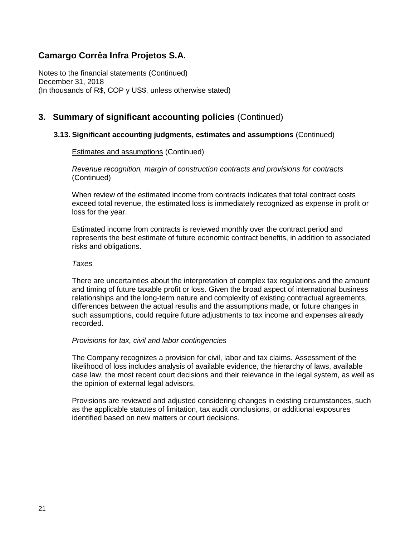Notes to the financial statements (Continued) December 31, 2018 (In thousands of R\$, COP y US\$, unless otherwise stated)

### **3. Summary of significant accounting policies** (Continued)

### **3.13. Significant accounting judgments, estimates and assumptions** (Continued)

### Estimates and assumptions (Continued)

*Revenue recognition, margin of construction contracts and provisions for contracts*  (Continued)

When review of the estimated income from contracts indicates that total contract costs exceed total revenue, the estimated loss is immediately recognized as expense in profit or loss for the year.

Estimated income from contracts is reviewed monthly over the contract period and represents the best estimate of future economic contract benefits, in addition to associated risks and obligations.

#### *Taxes*

There are uncertainties about the interpretation of complex tax regulations and the amount and timing of future taxable profit or loss. Given the broad aspect of international business relationships and the long-term nature and complexity of existing contractual agreements, differences between the actual results and the assumptions made, or future changes in such assumptions, could require future adjustments to tax income and expenses already recorded.

#### *Provisions for tax, civil and labor contingencies*

The Company recognizes a provision for civil, labor and tax claims. Assessment of the likelihood of loss includes analysis of available evidence, the hierarchy of laws, available case law, the most recent court decisions and their relevance in the legal system, as well as the opinion of external legal advisors.

Provisions are reviewed and adjusted considering changes in existing circumstances, such as the applicable statutes of limitation, tax audit conclusions, or additional exposures identified based on new matters or court decisions.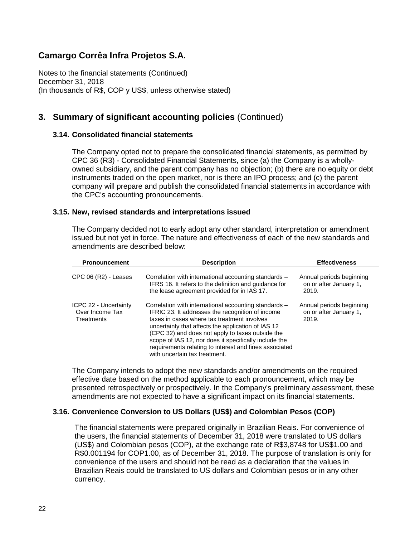Notes to the financial statements (Continued) December 31, 2018 (In thousands of R\$, COP y US\$, unless otherwise stated)

# **3. Summary of significant accounting policies** (Continued)

### **3.14. Consolidated financial statements**

The Company opted not to prepare the consolidated financial statements, as permitted by CPC 36 (R3) - Consolidated Financial Statements, since (a) the Company is a whollyowned subsidiary, and the parent company has no objection; (b) there are no equity or debt instruments traded on the open market, nor is there an IPO process; and (c) the parent company will prepare and publish the consolidated financial statements in accordance with the CPC's accounting pronouncements.

### **3.15. New, revised standards and interpretations issued**

The Company decided not to early adopt any other standard, interpretation or amendment issued but not yet in force. The nature and effectiveness of each of the new standards and amendments are described below:

| <b>Pronouncement</b>                                   | <b>Description</b>                                                                                                                                                                                                                                                                                                                                                                                                     | <b>Effectiveness</b>                                        |
|--------------------------------------------------------|------------------------------------------------------------------------------------------------------------------------------------------------------------------------------------------------------------------------------------------------------------------------------------------------------------------------------------------------------------------------------------------------------------------------|-------------------------------------------------------------|
| CPC 06 (R2) - Leases                                   | Correlation with international accounting standards -<br>IFRS 16. It refers to the definition and guidance for<br>the lease agreement provided for in IAS 17.                                                                                                                                                                                                                                                          | Annual periods beginning<br>on or after January 1,<br>2019. |
| ICPC 22 - Uncertainty<br>Over Income Tax<br>Treatments | Correlation with international accounting standards -<br>IFRIC 23. It addresses the recognition of income<br>taxes in cases where tax treatment involves<br>uncertainty that affects the application of IAS 12<br>(CPC 32) and does not apply to taxes outside the<br>scope of IAS 12, nor does it specifically include the<br>requirements relating to interest and fines associated<br>with uncertain tax treatment. | Annual periods beginning<br>on or after January 1,<br>2019. |

The Company intends to adopt the new standards and/or amendments on the required effective date based on the method applicable to each pronouncement, which may be presented retrospectively or prospectively. In the Company's preliminary assessment, these amendments are not expected to have a significant impact on its financial statements.

### **3.16. Convenience Conversion to US Dollars (US\$) and Colombian Pesos (COP)**

The financial statements were prepared originally in Brazilian Reais. For convenience of the users, the financial statements of December 31, 2018 were translated to US dollars (US\$) and Colombian pesos (COP), at the exchange rate of R\$3,8748 for US\$1.00 and R\$0.001194 for COP1.00, as of December 31, 2018. The purpose of translation is only for convenience of the users and should not be read as a declaration that the values in Brazilian Reais could be translated to US dollars and Colombian pesos or in any other currency.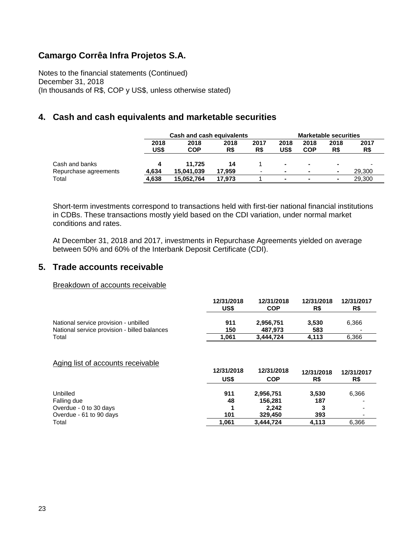Notes to the financial statements (Continued) December 31, 2018 (In thousands of R\$, COP y US\$, unless otherwise stated)

### **4. Cash and cash equivalents and marketable securities**

|                       |              | <b>Cash and cash equivalents</b> |             |             |                          |                    | <b>Marketable securities</b> |             |
|-----------------------|--------------|----------------------------------|-------------|-------------|--------------------------|--------------------|------------------------------|-------------|
|                       | 2018<br>US\$ | 2018<br><b>COP</b>               | 2018<br>R\$ | 2017<br>R\$ | 2018<br>US\$             | 2018<br><b>COP</b> | 2018<br>R\$                  | 2017<br>R\$ |
| Cash and banks        |              | 11.725                           | 14          |             | ٠                        | $\sim$             |                              |             |
| Repurchase agreements | 4.634        | 15.041.039                       | 17.959      | -           | $\overline{\phantom{a}}$ |                    | ۰.                           | 29,300      |
| Total                 | 4,638        | 15,052,764                       | 17.973      |             | $\blacksquare$           | $\sim$             | $\blacksquare$               | 29,300      |

Short-term investments correspond to transactions held with first-tier national financial institutions in CDBs. These transactions mostly yield based on the CDI variation, under normal market conditions and rates.

At December 31, 2018 and 2017, investments in Repurchase Agreements yielded on average between 50% and 60% of the Interbank Deposit Certificate (CDI).

### **5. Trade accounts receivable**

#### Breakdown of accounts receivable

|                                              | 12/31/2018<br>US\$ | 12/31/2018<br>COP | 12/31/2018<br>R\$ | 12/31/2017<br>R\$        |
|----------------------------------------------|--------------------|-------------------|-------------------|--------------------------|
| National service provision - unbilled        | 911                | 2.956.751         | 3.530             | 6.366                    |
| National service provision - billed balances | 150                | 487.973           | 583               | $\overline{\phantom{a}}$ |
| Total                                        | 1.061              | 3.444.724         | 4.113             | 6.366                    |

### Aging list of accounts receivable

| $\mathbf{r}$ and $\mathbf{r}$ and $\mathbf{r}$ and $\mathbf{r}$ and $\mathbf{r}$ and $\mathbf{r}$ and $\mathbf{r}$ | 12/31/2018<br>US\$ | 12/31/2018<br><b>COP</b> | 12/31/2018<br>R\$ | 12/31/2017<br>R\$ |
|--------------------------------------------------------------------------------------------------------------------|--------------------|--------------------------|-------------------|-------------------|
| Unbilled                                                                                                           | 911                | 2,956,751                | 3,530             | 6,366             |
| Falling due                                                                                                        | 48                 | 156.281                  | 187               |                   |
| Overdue - 0 to 30 days                                                                                             |                    | 2.242                    |                   |                   |
| Overdue - 61 to 90 days                                                                                            | 101                | 329,450                  | 393               |                   |
| Total                                                                                                              | 1,061              | 3,444,724                | 4,113             | 6,366             |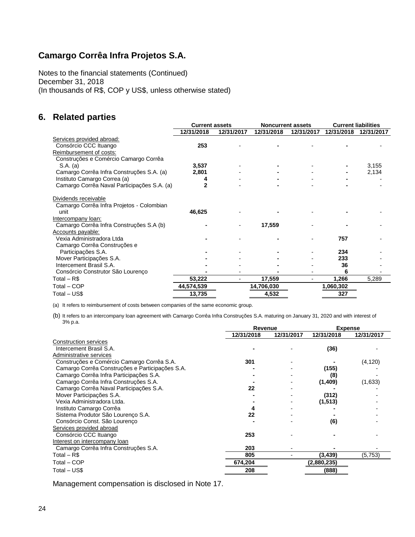Notes to the financial statements (Continued) December 31, 2018 (In thousands of R\$, COP y US\$, unless otherwise stated)

# **6. Related parties**

|                                             | <b>Current assets</b> |            | <b>Noncurrent assets</b> |            | <b>Current liabilities</b> |            |
|---------------------------------------------|-----------------------|------------|--------------------------|------------|----------------------------|------------|
|                                             | 12/31/2018            | 12/31/2017 | 12/31/2018               | 12/31/2017 | 12/31/2018                 | 12/31/2017 |
| Services provided abroad:                   |                       |            |                          |            |                            |            |
| Consórcio CCC Ituango                       | 253                   |            |                          |            |                            |            |
| Reimbursement of costs:                     |                       |            |                          |            |                            |            |
| Construções e Comércio Camargo Corrêa       |                       |            |                          |            |                            |            |
| S.A. (a)                                    | 3,537                 |            |                          |            |                            | 3,155      |
| Camargo Corrêa Infra Construções S.A. (a)   | 2,801                 |            |                          |            |                            | 2,134      |
| Instituto Camargo Correa (a)                |                       |            |                          |            |                            |            |
| Camargo Corrêa Naval Participações S.A. (a) | 2                     |            |                          |            |                            |            |
| Dividends receivable                        |                       |            |                          |            |                            |            |
| Camargo Corrêa Infra Projetos - Colombian   |                       |            |                          |            |                            |            |
| unit                                        | 46,625                |            |                          |            |                            |            |
| Intercompany loan:                          |                       |            |                          |            |                            |            |
| Camargo Corrêa Infra Construções S.A (b)    |                       |            | 17,559                   |            |                            |            |
| Accounts payable:                           |                       |            |                          |            |                            |            |
| Vexia Administradora Ltda                   |                       |            |                          |            | 757                        |            |
| Camargo Corrêa Construções e                |                       |            |                          |            |                            |            |
| Participações S.A.                          |                       |            |                          |            | 234                        |            |
| Mover Participações S.A.                    |                       |            |                          |            | 233                        |            |
| Intercement Brasil S.A.                     |                       |            |                          |            | 36                         |            |
| Consórcio Construtor São Lourenço           |                       |            |                          |            | 6                          |            |
| Total $-$ R\$                               | 53,222                |            | 17,559                   |            | 1,266                      | 5,289      |
| Total – COP                                 | 44,574,539            |            | 14,706,030               |            | 1,060,302                  |            |
| Total – US\$                                | 13,735                |            | 4,532                    |            | 327                        |            |

(a) It refers to reimbursement of costs between companies of the same economic group.

(b) It refers to an intercompany loan agreement with Camargo Corrêa Infra Construções S.A. maturing on January 31, 2020 and with interest of 3% p.a.

|                                                 | Revenue    |            | <b>Expense</b> |            |  |
|-------------------------------------------------|------------|------------|----------------|------------|--|
|                                                 | 12/31/2018 | 12/31/2017 | 12/31/2018     | 12/31/2017 |  |
| <b>Construction services</b>                    |            |            |                |            |  |
| Intercement Brasil S.A.                         |            |            | (36)           |            |  |
| Administrative services                         |            |            |                |            |  |
| Construções e Comércio Camargo Corrêa S.A.      | 301        |            |                | (4, 120)   |  |
| Camargo Corrêa Construções e Participações S.A. |            |            | (155)          |            |  |
| Camargo Corrêa Infra Participações S.A.         |            |            | (8)            |            |  |
| Camargo Corrêa Infra Construções S.A.           |            |            | (1,409)        | (1,633)    |  |
| Camargo Corrêa Naval Participações S.A.         | 22         |            |                |            |  |
| Mover Participações S.A.                        |            |            | (312)          |            |  |
| Vexia Administradora Ltda.                      |            |            | (1, 513)       |            |  |
| Instituto Camargo Corrêa                        |            |            |                |            |  |
| Sistema Produtor São Lourenço S.A.              | 22         |            |                |            |  |
| Consórcio Const. São Lourenço                   |            |            | (6)            |            |  |
| Services provided abroad                        |            |            |                |            |  |
| Consórcio CCC Ituango                           | 253        |            |                |            |  |
| Interest on intercompany loan                   |            |            |                |            |  |
| Camargo Corrêa Infra Construções S.A.           | 203        |            |                |            |  |
| Total – R\$                                     | 805        |            | (3, 439)       | (5,753)    |  |
| Total – COP                                     | 674,204    |            | (2,880,235)    |            |  |
| Total – US\$                                    | 208        |            | (888)          |            |  |

Management compensation is disclosed in Note 17.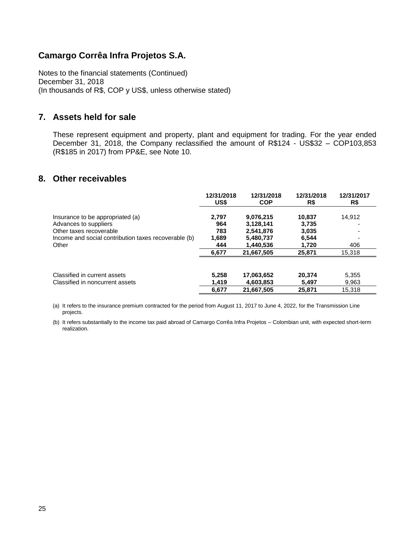Notes to the financial statements (Continued) December 31, 2018 (In thousands of R\$, COP y US\$, unless otherwise stated)

### **7. Assets held for sale**

These represent equipment and property, plant and equipment for trading. For the year ended December 31, 2018, the Company reclassified the amount of R\$124 - US\$32 - COP103.853 (R\$185 in 2017) from PP&E, see Note 10.

### **8. Other receivables**

|                                                      | 12/31/2018 | 12/31/2018 | 12/31/2018 | 12/31/2017 |
|------------------------------------------------------|------------|------------|------------|------------|
|                                                      | US\$       | <b>COP</b> | R\$        | R\$        |
| Insurance to be appropriated (a)                     | 2.797      | 9,076,215  | 10.837     | 14.912     |
| Advances to suppliers                                | 964        | 3,128,141  | 3,735      |            |
| Other taxes recoverable                              | 783        | 2.541.876  | 3,035      |            |
| Income and social contribution taxes recoverable (b) | 1,689      | 5,480,737  | 6,544      |            |
| Other                                                | 444        | 1,440,536  | 1.720      | 406        |
|                                                      | 6,677      | 21.667.505 | 25,871     | 15,318     |
| Classified in current assets                         | 5.258      | 17,063,652 | 20.374     | 5,355      |
| Classified in noncurrent assets                      | 1,419      | 4,603,853  | 5,497      | 9,963      |
|                                                      | 6,677      | 21,667,505 | 25.871     | 15,318     |

(a) It refers to the insurance premium contracted for the period from August 11, 2017 to June 4, 2022, for the Transmission Line projects.

(b) It refers substantially to the income tax paid abroad of Camargo Corrêa Infra Projetos – Colombian unit, with expected short-term realization.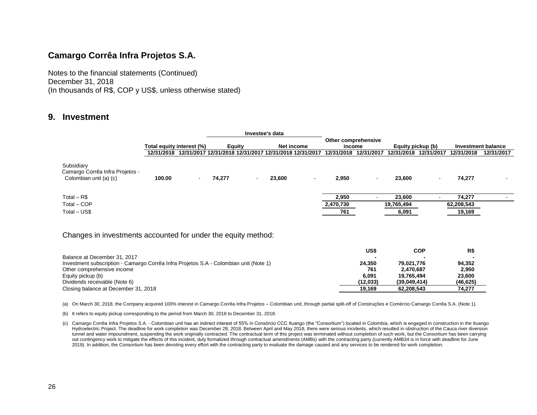Notes to the financial statements (Continued) December 31, 2018 (In thousands of R\$, COP y US\$, unless otherwise stated)

### **9. Investment**

|                                                                         |                           |   | Investee's data                                                   |                          |            |      |                     |            |                   |            |                    |            |
|-------------------------------------------------------------------------|---------------------------|---|-------------------------------------------------------------------|--------------------------|------------|------|---------------------|------------|-------------------|------------|--------------------|------------|
|                                                                         |                           |   |                                                                   |                          |            |      | Other comprehensive |            |                   |            |                    |            |
|                                                                         | Total equity interest (%) |   | Equity                                                            |                          | Net income |      | income              |            | Equity pickup (b) |            | Investment balance |            |
|                                                                         |                           |   | 12/31/2018 12/31/2017 12/31/2018 12/31/2017 12/31/2018 12/31/2017 |                          |            |      | 12/31/2018          | 12/31/2017 | 12/31/2018        | 12/31/2017 | 12/31/2018         | 12/31/2017 |
| Subsidiary<br>Camargo Corrêa Infra Projetos -<br>Colombian unit (a) (c) | 100.00                    | ۰ | 74,277                                                            | $\overline{\phantom{a}}$ | 23,600     | $\,$ | 2,950               | $\sim$     | 23,600            |            | 74,277             |            |
| Total $-$ R\$                                                           |                           |   |                                                                   |                          |            |      | 2,950               |            | 23,600            |            | 74,277             |            |
| Total - COP                                                             |                           |   |                                                                   |                          |            |      | 2,470,730           |            | 19,765,494        |            | 62,208,543         |            |
| Total – US\$                                                            |                           |   |                                                                   |                          |            |      | 761                 |            | 6,091             |            | 19,169             |            |
| Changes in investments accounted for under the equity method:           |                           |   |                                                                   |                          |            |      |                     |            |                   |            |                    |            |

|              | R\$        |
|--------------|------------|
|              |            |
| 79.021.776   | 94.352     |
| 2.470.687    | 2,950      |
| 19.765.494   | 23.600     |
| (39.049.414) | (46, 625)  |
| 62.208.543   | 74.277     |
|              | <b>COP</b> |

(a) On March 30, 2018, the Company acquired 100% interest in Camargo Corrêa Infra Projetos – Colombian unit, through partial split-off of Construções e Comércio Camargo Corrêa S.A. (Note 1).

(b) It refers to equity pickup corresponding to the period from March 30, 2018 to December 31, 2018.

<sup>(</sup>c) Camargo Corrêa Infra Projetos S.A. - Colombian unit has an indirect interest of 55% in Consórcio CCC Ituango (the "Consortium") located in Colombia, which is engaged in construction in the Ituango Hydroelectric Project. The deadline for work completion was December 28, 2018. Between April and May 2018, there were serious incidents, which resulted in obstruction of the Cauca river diversion tunnel and water impoundment, suspending the work originally contracted. The contractual term of this project was terminated without completion of such work, but the Consortium has been carrying out contingency work to mitigate the effects of this incident, duly formalized through contractual amendments (AMBs) with the contracting party (currently AMB34 is in force with deadline for June 2019). In addition, the Consortium has been devoting every effort with the contracting party to evaluate the damage caused and any services to be rendered for work completion.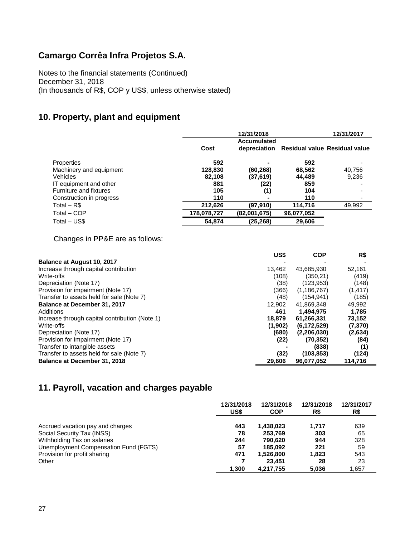Notes to the financial statements (Continued) December 31, 2018 (In thousands of R\$, COP y US\$, unless otherwise stated)

# **10. Property, plant and equipment**

|                          |             | 12/31/2017   |                               |        |
|--------------------------|-------------|--------------|-------------------------------|--------|
|                          |             |              |                               |        |
|                          | Cost        | depreciation | Residual value Residual value |        |
| <b>Properties</b>        | 592         |              | 592                           |        |
| Machinery and equipment  | 128,830     | (60, 268)    | 68,562                        | 40,756 |
| <b>Vehicles</b>          | 82,108      | (37, 619)    | 44.489                        | 9,236  |
| IT equipment and other   | 881         | (22)         | 859                           |        |
| Furniture and fixtures   | 105         | (1)          | 104                           |        |
| Construction in progress | 110         | ۰            | 110                           |        |
| Total $-$ R\$            | 212,626     | (97,910)     | 114,716                       | 49,992 |
| Total - COP              | 178,078,727 | (82,001,675) | 96,077,052                    |        |
| Total - US\$             | 54,874      | (25, 268)    | 29,606                        |        |

Changes in PP&E are as follows:

|                                                | US\$    | <b>COP</b>    | R\$      |
|------------------------------------------------|---------|---------------|----------|
| <b>Balance at August 10, 2017</b>              |         |               |          |
| Increase through capital contribution          | 13,462  | 43,685,930    | 52,161   |
| Write-offs                                     | (108)   | (350.21)      | (419)    |
| Depreciation (Note 17)                         | (38)    | (123, 953)    | (148)    |
| Provision for impairment (Note 17)             | (366)   | (1, 186, 767) | (1, 417) |
| Transfer to assets held for sale (Note 7)      | (48)    | (154.941)     | (185)    |
| <b>Balance at December 31, 2017</b>            | 12.902  | 41,869,348    | 49.992   |
| Additions                                      | 461     | 1.494.975     | 1.785    |
| Increase through capital contribution (Note 1) | 18,879  | 61,266,331    | 73,152   |
| Write-offs                                     | (1,902) | (6, 172, 529) | (7,370)  |
| Depreciation (Note 17)                         | (680)   | (2,206,030)   | (2,634)  |
| Provision for impairment (Note 17)             | (22)    | (70, 352)     | (84)     |
| Transfer to intangible assets                  |         | (838)         | (1)      |
| Transfer to assets held for sale (Note 7)      | (32)    | (103,853)     | (124)    |
| <b>Balance at December 31, 2018</b>            | 29,606  | 96,077,052    | 114,716  |

# **11. Payroll, vacation and charges payable**

|                                       | 12/31/2018<br>US\$ | 12/31/2018<br><b>COP</b> | 12/31/2018<br>R\$ | 12/31/2017<br>R\$ |
|---------------------------------------|--------------------|--------------------------|-------------------|-------------------|
| Accrued vacation pay and charges      | 443                | 1,438,023                | 1.717             | 639               |
| Social Security Tax (INSS)            | 78                 | 253,769                  | 303               | 65                |
| Withholding Tax on salaries           | 244                | 790.620                  | 944               | 328               |
| Unemployment Compensation Fund (FGTS) | 57                 | 185.092                  | 221               | 59                |
| Provision for profit sharing          | 471                | 1,526,800                | 1,823             | 543               |
| Other                                 |                    | 23.451                   | 28                | 23                |
|                                       | 1.300              | 4.217.755                | 5.036             | 1.657             |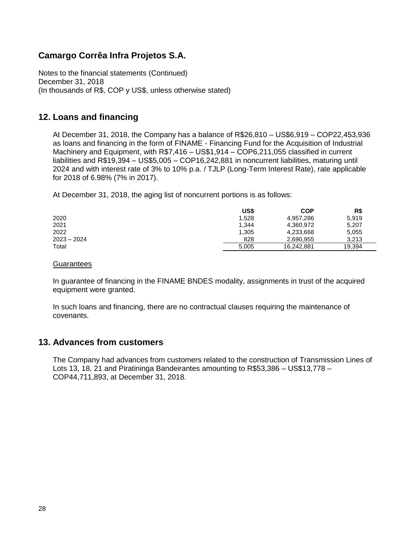Notes to the financial statements (Continued) December 31, 2018 (In thousands of R\$, COP y US\$, unless otherwise stated)

# **12. Loans and financing**

At December 31, 2018, the Company has a balance of R\$26,810 – US\$6,919 – COP22,453,936 as loans and financing in the form of FINAME - Financing Fund for the Acquisition of Industrial Machinery and Equipment, with R\$7,416 – US\$1,914 – COP6,211,055 classified in current liabilities and R\$19,394 – US\$5,005 – COP16,242,881 in noncurrent liabilities, maturing until 2024 and with interest rate of 3% to 10% p.a. / TJLP (Long-Term Interest Rate), rate applicable for 2018 of 6.98% (7% in 2017).

At December 31, 2018, the aging list of noncurrent portions is as follows:

|               | US\$  | <b>COP</b> | R\$    |
|---------------|-------|------------|--------|
| 2020          | 1.528 | 4,957,286  | 5.919  |
| 2021          | 1,344 | 4,360,972  | 5,207  |
| 2022          | 1,305 | 4,233,668  | 5,055  |
| $2023 - 2024$ | 828   | 2.690.955  | 3.213  |
| Total         | 5.005 | 16.242.881 | 19,394 |

#### **Guarantees**

In guarantee of financing in the FINAME BNDES modality, assignments in trust of the acquired equipment were granted.

In such loans and financing, there are no contractual clauses requiring the maintenance of covenants.

### **13. Advances from customers**

The Company had advances from customers related to the construction of Transmission Lines of Lots 13, 18, 21 and Piratininga Bandeirantes amounting to R\$53,386 – US\$13,778 – COP44,711,893, at December 31, 2018.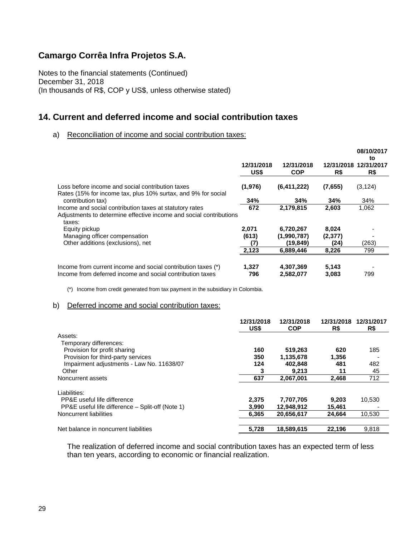Notes to the financial statements (Continued) December 31, 2018 (In thousands of R\$, COP y US\$, unless otherwise stated)

### **14. Current and deferred income and social contribution taxes**

#### a) Reconciliation of income and social contribution taxes:

|                                                                                                                                         | 12/31/2018<br>US\$ | 12/31/2018<br><b>COP</b> | 12/31/2018<br>R\$ | 08/10/2017<br>to<br>12/31/2017<br>R\$ |
|-----------------------------------------------------------------------------------------------------------------------------------------|--------------------|--------------------------|-------------------|---------------------------------------|
| Loss before income and social contribution taxes                                                                                        | (1,976)            | (6,411,222)              | (7,655)           | (3, 124)                              |
| Rates (15% for income tax, plus 10% surtax, and 9% for social<br>contribution tax)                                                      | 34%                | 34%                      | 34%               | 34%                                   |
| Income and social contribution taxes at statutory rates<br>Adjustments to determine effective income and social contributions<br>taxes: | 672                | 2,179,815                | 2,603             | 1,062                                 |
| Equity pickup<br>Managing officer compensation                                                                                          | 2,071<br>(613)     | 6,720,267<br>(1,990,787) | 8,024<br>(2,377)  |                                       |
| Other additions (exclusions), net                                                                                                       | (7)                | (19, 849)                | (24)              | (263)                                 |
|                                                                                                                                         | 2,123              | 6,889,446                | 8,226             | 799                                   |
| Income from current income and social contribution taxes (*)<br>Income from deferred income and social contribution taxes               | 1,327<br>796       | 4,307,369<br>2,582,077   | 5,143<br>3,083    | 799                                   |

(\*) Income from credit generated from tax payment in the subsidiary in Colombia.

#### b) Deferred income and social contribution taxes:

|                                                  | 12/31/2018<br>US\$ | 12/31/2018<br><b>COP</b> | 12/31/2018<br>R\$ | 12/31/2017<br>R\$ |
|--------------------------------------------------|--------------------|--------------------------|-------------------|-------------------|
| Assets:                                          |                    |                          |                   |                   |
| Temporary differences:                           |                    |                          |                   |                   |
| Provision for profit sharing                     | 160                | 519,263                  | 620               | 185               |
| Provision for third-party services               | 350                | 1,135,678                | 1,356             |                   |
| Impairment adjustments - Law No. 11638/07        | 124                | 402.848                  | 481               | 482               |
| Other                                            | 3                  | 9,213                    | 11                | 45                |
| Noncurrent assets                                | 637                | 2.067.001                | 2.468             | 712               |
| Liabilities:                                     |                    |                          |                   |                   |
| PP&E useful life difference                      | 2,375              | 7,707,705                | 9,203             | 10.530            |
| PP&E useful life difference – Split-off (Note 1) | 3.990              | 12,948,912               | 15,461            |                   |
| Noncurrent liabilities                           | 6.365              | 20.656.617               | 24.664            | 10.530            |
| Net balance in noncurrent liabilities            | 5,728              | 18,589,615               | 22,196            | 9,818             |

The realization of deferred income and social contribution taxes has an expected term of less than ten years, according to economic or financial realization.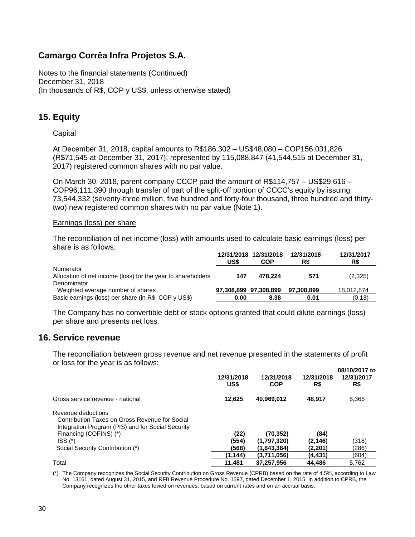Notes to the financial statements (Continued) December 31, 2018 (In thousands of R\$, COP y US\$, unless otherwise stated)

# **15. Equity**

### **Capital**

At December 31, 2018, capital amounts to R\$186,302 – US\$48,080 – COP156,031,826 (R\$71,545 at December 31, 2017), represented by 115,088,847 (41,544,515 at December 31, 2017) registered common shares with no par value.

On March 30, 2018, parent company CCCP paid the amount of R\$114,757 – US\$29,616 – COP96,111,390 through transfer of part of the split-off portion of CCCC's equity by issuing 73,544,332 (seventy-three million, five hundred and forty-four thousand, three hundred and thirtytwo) new registered common shares with no par value (Note 1).

#### Earnings (loss) per share

The reconciliation of net income (loss) with amounts used to calculate basic earnings (loss) per share is as follows:

|                                                                           | US\$                  | 12/31/2018 12/31/2018<br>COP | 12/31/2018<br>R\$ | 12/31/2017<br>R\$ |
|---------------------------------------------------------------------------|-----------------------|------------------------------|-------------------|-------------------|
| Numerator<br>Allocation of net income (loss) for the year to shareholders | 147                   | 478.224                      | 571               | (2,325)           |
| Denominator<br>Weighted average number of shares                          | 97,308,899 97,308,899 |                              | 97.308.899        | 18,012,874        |
| Basic earnings (loss) per share (in R\$, COP y US\$)                      | 0.00                  | 8.38                         | 0.01              | (0.13)            |

The Company has no convertible debt or stock options granted that could dilute earnings (loss) per share and presents net loss.

### **16. Service revenue**

The reconciliation between gross revenue and net revenue presented in the statements of profit or loss for the year is as follows:

|                                                                                                                           | 12/31/2018<br>US\$ | 12/31/2018<br><b>COP</b> | 12/31/2018<br>R\$ | 08/10/2017 to<br>12/31/2017<br>R\$ |
|---------------------------------------------------------------------------------------------------------------------------|--------------------|--------------------------|-------------------|------------------------------------|
| Gross service revenue - national                                                                                          | 12.625             | 40,969,012               | 48,917            | 6,366                              |
| Revenue deductions<br>Contribution Taxes on Gross Revenue for Social<br>Integration Program (PIS) and for Social Security |                    |                          |                   |                                    |
| Financing (COFINS) (*)                                                                                                    | (22)               | (70, 352)                | (84)              |                                    |
| $ISS(*)$                                                                                                                  | (554)              | (1,797,320)              | (2, 146)          | (318)                              |
| Social Security Contribution (*)                                                                                          | (568)              | (1,843,384)              | (2,201)           | (286)                              |
|                                                                                                                           | (1, 144)           | (3,711,056)              | (4,431)           | (604)                              |
| Total                                                                                                                     | 11,481             | 37,257,956               | 44.486            | 5,762                              |

(\*) The Company recognizes the Social Security Contribution on Gross Revenue (CPRB) based on the rate of 4.5%, according to Law No. 13161, dated August 31, 2015, and RFB Revenue Procedure No. 1597, dated December 1, 2015. In addition to CPRB, the Company recognizes the other taxes levied on revenues, based on current rates and on an accrual basis.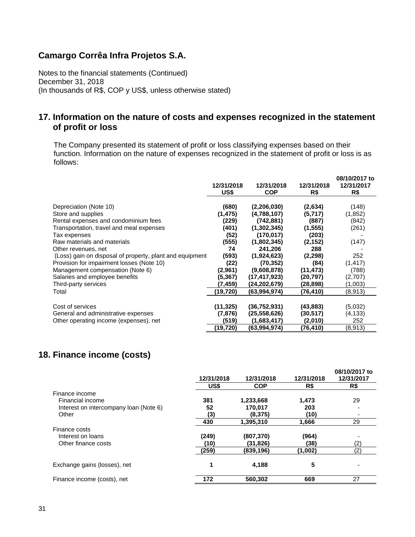Notes to the financial statements (Continued) December 31, 2018 (In thousands of R\$, COP y US\$, unless otherwise stated)

### **17. Information on the nature of costs and expenses recognized in the statement of profit or loss**

The Company presented its statement of profit or loss classifying expenses based on their function. Information on the nature of expenses recognized in the statement of profit or loss is as follows:

|                                                          | 12/31/2018<br>US\$ | 12/31/2018<br><b>COP</b> | 12/31/2018<br>R\$ | 08/10/2017 to<br>12/31/2017<br>R\$ |
|----------------------------------------------------------|--------------------|--------------------------|-------------------|------------------------------------|
|                                                          |                    |                          |                   |                                    |
| Depreciation (Note 10)                                   | (680)              | (2,206,030)              | (2,634)           | (148)                              |
| Store and supplies                                       | (1, 475)           | (4,788,107)              | (5,717)           | (1, 852)                           |
| Rental expenses and condominium fees                     | (229)              | (742, 881)               | (887)             | (842)                              |
| Transportation, travel and meal expenses                 | (401)              | (1,302,345)              | (1, 555)          | (261)                              |
| Tax expenses                                             | (52)               | (170, 017)               | (203)             |                                    |
| Raw materials and materials                              | (555)              | (1,802,345)              | (2, 152)          | (147)                              |
| Other revenues, net                                      | 74                 | 241,206                  | 288               |                                    |
| (Loss) gain on disposal of property, plant and equipment | (593)              | (1,924,623)              | (2, 298)          | 252                                |
| Provision for impairment losses (Note 10)                | (22)               | (70, 352)                | (84)              | (1, 417)                           |
| Management compensation (Note 6)                         | (2,961)            | (9,608,878)              | (11,473)          | (788)                              |
| Salaries and employee benefits                           | (5.367)            | (17,417,923)             | (20.797)          | (2,707)                            |
| Third-party services                                     | (7,459)            | (24,202,679)             | (28,898)          | (1,003)                            |
| Total                                                    | (19,720)           | (63,994,974)             | (76,410)          | (8,913)                            |
|                                                          |                    |                          |                   |                                    |
| Cost of services                                         | (11,325)           | (36, 752, 931)           | (43,883)          | (5,032)                            |
| General and administrative expenses                      | (7,876)            | (25, 558, 626)           | (30,517)          | (4,133)                            |
| Other operating income (expenses), net                   | (519)              | (1,683,417)              | (2,010)           | 252                                |
|                                                          | (19,720)           | (63,994,974)             | (76, 410)         | (8,913)                            |

# **18. Finance income (costs)**

|                                        | 12/31/2018 | 12/31/2018 | 12/31/2018 | 08/10/2017 to<br>12/31/2017 |
|----------------------------------------|------------|------------|------------|-----------------------------|
|                                        | US\$       | <b>COP</b> | R\$        | R\$                         |
| Finance income                         |            |            |            |                             |
| Financial income                       | 381        | 1,233,668  | 1,473      | 29                          |
| Interest on intercompany loan (Note 6) | 52         | 170.017    | 203        |                             |
| Other                                  | (3)        | (8,375)    | (10)       |                             |
|                                        | 430        | 1,395,310  | 1,666      | 29                          |
| Finance costs                          |            |            |            |                             |
| Interest on loans                      | (249)      | (807,370)  | (964)      |                             |
| Other finance costs                    | (10)       | (31, 826)  | (38)       | (2)                         |
|                                        | (259)      | (839,196)  | (1,002)    | $\left( 2\right)$           |
| Exchange gains (losses), net           | 1          | 4,188      | 5          |                             |
| Finance income (costs), net            | 172        | 560,302    | 669        | 27                          |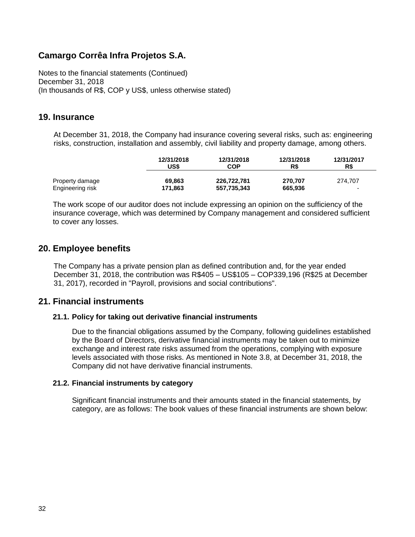Notes to the financial statements (Continued) December 31, 2018 (In thousands of R\$, COP y US\$, unless otherwise stated)

### **19. Insurance**

At December 31, 2018, the Company had insurance covering several risks, such as: engineering risks, construction, installation and assembly, civil liability and property damage, among others.

|                  | 12/31/2018 | 12/31/2018  | 12/31/2018 | 12/31/2017 |
|------------------|------------|-------------|------------|------------|
|                  | US\$       | <b>COP</b>  | R\$        | R\$        |
| Property damage  | 69.863     | 226.722.781 | 270.707    | 274.707    |
| Engineering risk | 171,863    | 557,735,343 | 665,936    | -          |

The work scope of our auditor does not include expressing an opinion on the sufficiency of the insurance coverage, which was determined by Company management and considered sufficient to cover any losses.

### **20. Employee benefits**

The Company has a private pension plan as defined contribution and, for the year ended December 31, 2018, the contribution was R\$405 – US\$105 – COP339,196 (R\$25 at December 31, 2017), recorded in "Payroll, provisions and social contributions".

### **21. Financial instruments**

### **21.1. Policy for taking out derivative financial instruments**

Due to the financial obligations assumed by the Company, following guidelines established by the Board of Directors, derivative financial instruments may be taken out to minimize exchange and interest rate risks assumed from the operations, complying with exposure levels associated with those risks. As mentioned in Note 3.8, at December 31, 2018, the Company did not have derivative financial instruments.

### **21.2. Financial instruments by category**

Significant financial instruments and their amounts stated in the financial statements, by category, are as follows: The book values of these financial instruments are shown below: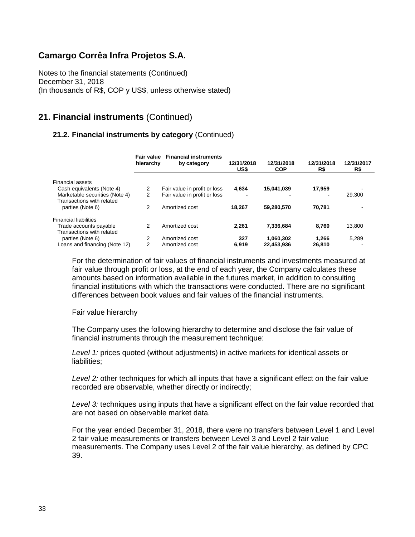Notes to the financial statements (Continued) December 31, 2018 (In thousands of R\$, COP y US\$, unless otherwise stated)

# **21. Financial instruments** (Continued)

### **21.2. Financial instruments by category** (Continued)

|                                                             | Fair value<br>hierarchy | <b>Financial instruments</b><br>by category | 12/31/2018<br>US\$ | 12/31/2018<br><b>COP</b> | 12/31/2018<br>R\$        | 12/31/2017<br>R\$ |
|-------------------------------------------------------------|-------------------------|---------------------------------------------|--------------------|--------------------------|--------------------------|-------------------|
| <b>Financial assets</b>                                     |                         |                                             |                    |                          |                          |                   |
| Cash equivalents (Note 4)                                   | 2                       | Fair value in profit or loss                | 4.634              | 15.041.039               | 17.959                   |                   |
| Marketable securities (Note 4)<br>Transactions with related | 2                       | Fair value in profit or loss                | -                  | -                        | $\overline{\phantom{0}}$ | 29.300            |
| parties (Note 6)                                            | 2                       | Amortized cost                              | 18.267             | 59.280.570               | 70.781                   |                   |
| <b>Financial liabilities</b>                                |                         |                                             |                    |                          |                          |                   |
| Trade accounts payable<br>Transactions with related         | 2                       | Amortized cost                              | 2.261              | 7,336,684                | 8.760                    | 13,800            |
| parties (Note 6)                                            | 2                       | Amortized cost                              | 327                | 1,060,302                | 1.266                    | 5,289             |
| Loans and financing (Note 12)                               | 2                       | Amortized cost                              | 6.919              | 22,453,936               | 26.810                   |                   |

For the determination of fair values of financial instruments and investments measured at fair value through profit or loss, at the end of each year, the Company calculates these amounts based on information available in the futures market, in addition to consulting financial institutions with which the transactions were conducted. There are no significant differences between book values and fair values of the financial instruments.

#### Fair value hierarchy

The Company uses the following hierarchy to determine and disclose the fair value of financial instruments through the measurement technique:

*Level 1:* prices quoted (without adjustments) in active markets for identical assets or liabilities:

*Level 2:* other techniques for which all inputs that have a significant effect on the fair value recorded are observable, whether directly or indirectly;

*Level 3:* techniques using inputs that have a significant effect on the fair value recorded that are not based on observable market data.

For the year ended December 31, 2018, there were no transfers between Level 1 and Level 2 fair value measurements or transfers between Level 3 and Level 2 fair value measurements. The Company uses Level 2 of the fair value hierarchy, as defined by CPC 39.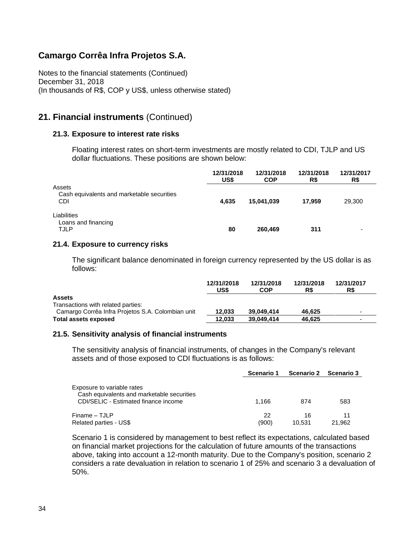Notes to the financial statements (Continued) December 31, 2018 (In thousands of R\$, COP y US\$, unless otherwise stated)

### **21. Financial instruments** (Continued)

### **21.3. Exposure to interest rate risks**

Floating interest rates on short-term investments are mostly related to CDI, TJLP and US dollar fluctuations. These positions are shown below:

|                                                   | 12/31/2018<br>US\$ | 12/31/2018<br><b>COP</b> | 12/31/2018<br>R\$ | 12/31/2017<br>R\$        |
|---------------------------------------------------|--------------------|--------------------------|-------------------|--------------------------|
| Assets                                            |                    |                          |                   |                          |
| Cash equivalents and marketable securities<br>CDI | 4,635              | 15,041,039               | 17.959            | 29,300                   |
| Liabilities                                       |                    |                          |                   |                          |
| Loans and financing<br><b>TJLP</b>                | 80                 | 260,469                  | 311               | $\overline{\phantom{0}}$ |

### **21.4. Exposure to currency risks**

The significant balance denominated in foreign currency represented by the US dollar is as follows:

|                                                   | 12/31//2018<br>US\$ | 12/31/2018<br><b>COP</b> | 12/31/2018<br>R\$ | 12/31/2017<br>R\$ |
|---------------------------------------------------|---------------------|--------------------------|-------------------|-------------------|
| <b>Assets</b>                                     |                     |                          |                   |                   |
| Transactions with related parties:                |                     |                          |                   |                   |
| Camargo Corrêa Infra Projetos S.A. Colombian unit | 12.033              | 39.049.414               | 46.625            |                   |
| <b>Total assets exposed</b>                       | 12.033              | 39.049.414               | 46.625            | -                 |

#### **21.5. Sensitivity analysis of financial instruments**

The sensitivity analysis of financial instruments, of changes in the Company's relevant assets and of those exposed to CDI fluctuations is as follows:

|                                                                                                                  | Scenario 1  | Scenario 2   | <b>Scenario 3</b> |
|------------------------------------------------------------------------------------------------------------------|-------------|--------------|-------------------|
| Exposure to variable rates<br>Cash equivalents and marketable securities<br>CDI/SELIC - Estimated finance income | 1.166       | 874          | 583               |
| Finame - TJLP<br>Related parties - US\$                                                                          | 22<br>(900) | 16<br>10.531 | 11<br>21.962      |

Scenario 1 is considered by management to best reflect its expectations, calculated based on financial market projections for the calculation of future amounts of the transactions above, taking into account a 12-month maturity. Due to the Company's position, scenario 2 considers a rate devaluation in relation to scenario 1 of 25% and scenario 3 a devaluation of 50%.